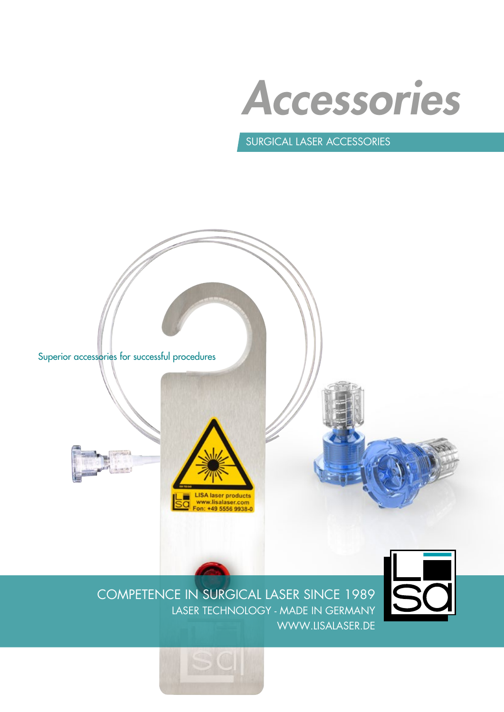Accessories

Surgical laser Accessories





COMPETENCE IN SURGICAL LASER SINCE 1989 LASER TECHNOLOGY - MADE IN GERMANY WWW.LISALASER.DE

LISA laser products<br>www.lisalaser.com<br>Fon: +49 5556 9938-0

Ē

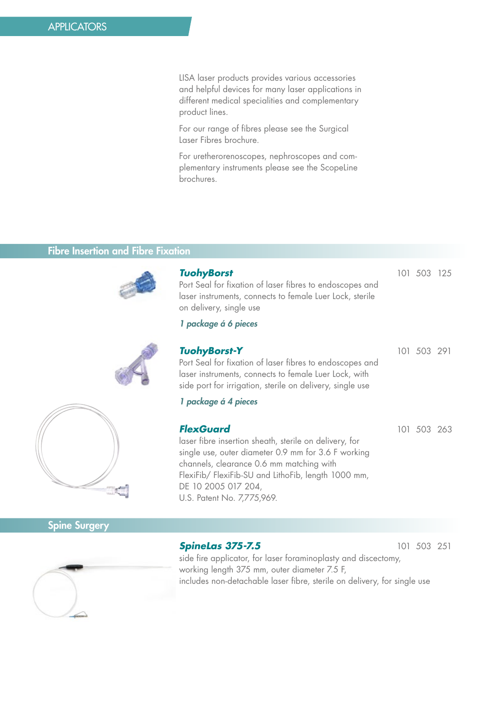LISA laser products provides various accessories and helpful devices for many laser applications in different medical specialities and complementary product lines.

For our range of fibres please see the Surgical Laser Fibres brochure.

For uretherorenoscopes, nephroscopes and complementary instruments please see the ScopeLine brochures.

## Fibre Insertion and Fibre Fixation



| <b>TuohyBorst</b><br>Port Seal for fixation of laser fibres to endoscopes and<br>laser instruments, connects to female Luer Lock, sterile<br>on delivery, single use                                                                                                                      | 101 503 125 |  |
|-------------------------------------------------------------------------------------------------------------------------------------------------------------------------------------------------------------------------------------------------------------------------------------------|-------------|--|
| 1 package á 6 pieces                                                                                                                                                                                                                                                                      |             |  |
| <b>TuohyBorst-Y</b><br>Port Seal for fixation of laser fibres to endoscopes and<br>laser instruments, connects to female Luer Lock, with<br>side port for irrigation, sterile on delivery, single use                                                                                     | 101 503 291 |  |
| 1 package á 4 pieces                                                                                                                                                                                                                                                                      |             |  |
| <b>FlexGuard</b><br>laser fibre insertion sheath, sterile on delivery, for<br>single use, outer diameter 0.9 mm for 3.6 F working<br>channels, clearance 0.6 mm matching with<br>FlexiFib/ FlexiFib-SU and LithoFib, length 1000 mm,<br>DE 10 2005 017 204,<br>U.S. Patent No. 7,775,969. | 101 503 263 |  |



# Spine Surgery

### **SpineLas 375-7.5** 101 503 251



side fire applicator, for laser foraminoplasty and discectomy, working length 375 mm, outer diameter 7.5 F, includes non-detachable laser fibre, sterile on delivery, for single use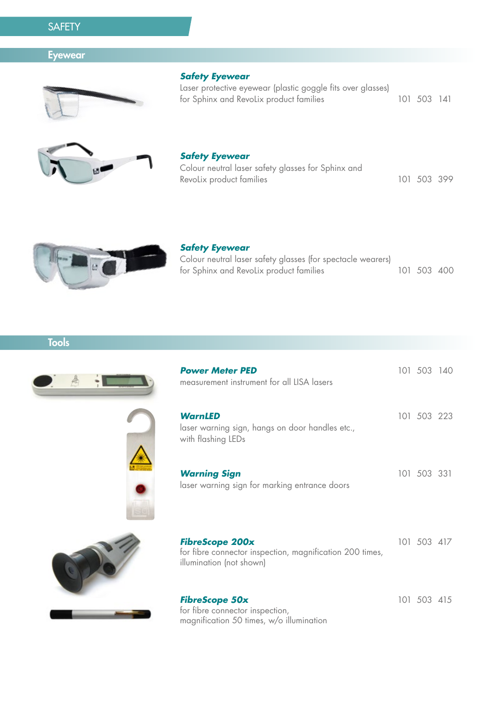# **SAFETY**

## **Eyewear**



#### **Safety Eyewear**

Laser protective eyewear (plastic goggle fits over glasses) for Sphinx and RevoLix product families 101 503 141



#### **Safety Eyewear**

| Colour neutral laser safety glasses for Sphinx and |             |  |
|----------------------------------------------------|-------------|--|
| Revolix product families                           | 101 503 399 |  |



### **Safety Eyewear**

Colour neutral laser safety glasses (for spectacle wearers) for Sphinx and RevoLix product families 101 503 400

**Power Meter PED** 101 503 140

**Tools** 





| WarnLED<br>laser warning sign, hangs on door handles etc.,<br>with flashing LEDs                               | 101 503 223 |  |
|----------------------------------------------------------------------------------------------------------------|-------------|--|
| <b>Warning Sign</b><br>laser warning sign for marking entrance doors                                           | 101 503 331 |  |
| <b>FibreScope 200x</b><br>for fibre connector inspection, magnification 200 times,<br>illumination (not shown) | 101 503 417 |  |
|                                                                                                                |             |  |

#### **FibreScope 50x** 101 503 415 for fibre connector inspection, magnification 50 times, w/o illumination

measurement instrument for all LISA lasers